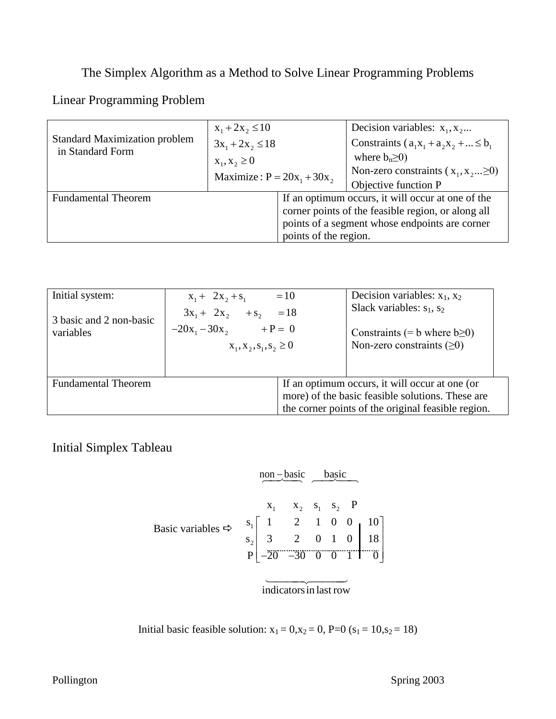## The Simplex Algorithm as a Method to Solve Linear Programming Problems

## Linear Programming Problem

| <b>Standard Maximization problem</b><br>in Standard Form | $x_1 + 2x_2 \le 10$           |                                                    | Decision variables: $x_1, x_2$             |
|----------------------------------------------------------|-------------------------------|----------------------------------------------------|--------------------------------------------|
|                                                          | $3x_1 + 2x_2 \le 18$          |                                                    | Constraints $(a_1x_1 + a_2x_2 +  \le b_1)$ |
|                                                          | $X_1, X_2 \ge 0$              |                                                    | where $b_n \geq 0$ )                       |
|                                                          | Maximize: $P = 20x_1 + 30x_2$ |                                                    | Non-zero constraints $(x_1, x_2 \geq 0)$   |
|                                                          |                               |                                                    | Objective function P                       |
| <b>Fundamental Theorem</b>                               |                               | If an optimum occurs, it will occur at one of the  |                                            |
|                                                          |                               | corner points of the feasible region, or along all |                                            |
|                                                          |                               | points of a segment whose endpoints are corner     |                                            |
|                                                          |                               | points of the region.                              |                                            |

| Initial system:<br>3 basic and 2 non-basic<br>variables | $X_1 + 2X_2 + S_1$<br>$3x_1 + 2x_2 + s_2 = 18$<br>$-20x_1 - 30x_2 + P = 0$<br>$X_1, X_2, S_1, S_2 \ge 0$ | $=10$ | Decision variables: $x_1, x_2$<br>Slack variables: $s_1$ , $s_2$<br>Constraints (= b where $b \ge 0$ )<br>Non-zero constraints $(≥0)$                    |  |
|---------------------------------------------------------|----------------------------------------------------------------------------------------------------------|-------|----------------------------------------------------------------------------------------------------------------------------------------------------------|--|
| <b>Fundamental Theorem</b>                              |                                                                                                          |       | If an optimum occurs, it will occur at one (or<br>more) of the basic feasible solutions. These are<br>the corner points of the original feasible region. |  |

Initial Simplex Tableau

|                               | non-basic basic                                                                                                                                                           |  |  |
|-------------------------------|---------------------------------------------------------------------------------------------------------------------------------------------------------------------------|--|--|
| Basic variables $\Rightarrow$ | $X_1$ $X_2$ $S_1$ $S_2$ P<br>$\begin{array}{c ccccc} s_1 & 1 & 2 & 1 & 0 & 0 & 10 \\ s_2 & 3 & 2 & 0 & 1 & 0 & 18 \\ \text{P} & -20 & -30 & 0 & 0 & 1 & 0 \\ \end{array}$ |  |  |
|                               |                                                                                                                                                                           |  |  |
|                               | indicators in last row                                                                                                                                                    |  |  |

Initial basic feasible solution:  $x_1 = 0, x_2 = 0, P=0$  ( $s_1 = 10, s_2 = 18$ )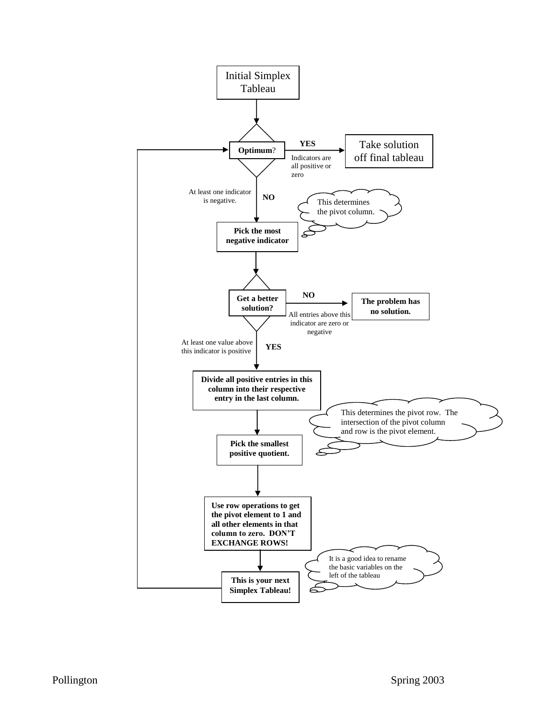